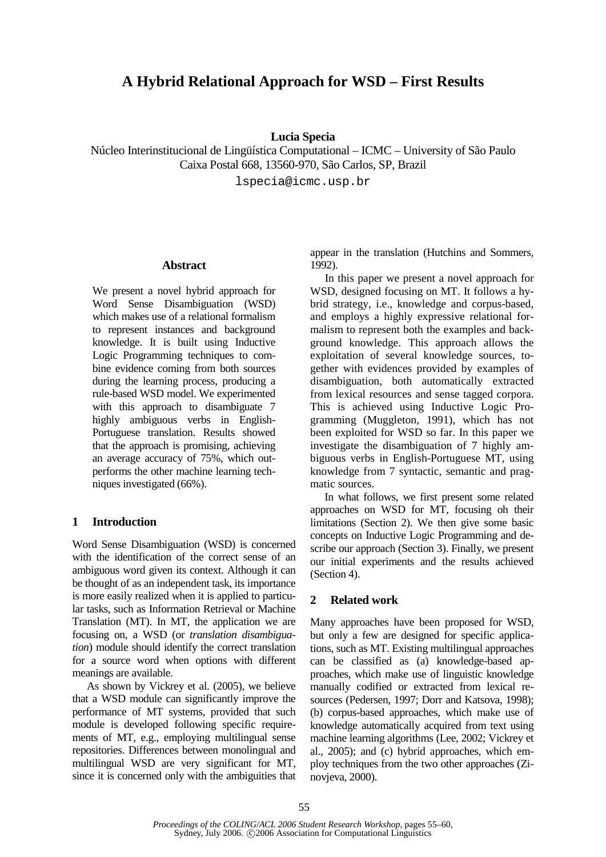# **A Hybrid Relational Approach for WSD – First Results**

### **Lucia Specia**

Núcleo Interinstitucional de Lingüística Computational – ICMC – University of São Paulo Caixa Postal 668, 13560-970, São Carlos, SP, Brazil

lspecia@icmc.usp.br

#### **Abstract**

We present a novel hybrid approach for Word Sense Disambiguation (WSD) which makes use of a relational formalism to represent instances and background knowledge. It is built using Inductive Logic Programming techniques to combine evidence coming from both sources during the learning process, producing a rule-based WSD model. We experimented with this approach to disambiguate 7 highly ambiguous verbs in English-Portuguese translation. Results showed that the approach is promising, achieving an average accuracy of 75%, which outperforms the other machine learning techniques investigated (66%).

#### **1 Introduction**

Word Sense Disambiguation (WSD) is concerned with the identification of the correct sense of an ambiguous word given its context. Although it can be thought of as an independent task, its importance is more easily realized when it is applied to particular tasks, such as Information Retrieval or Machine Translation (MT). In MT, the application we are focusing on, a WSD (or *translation disambiguation*) module should identify the correct translation for a source word when options with different meanings are available.

As shown by Vickrey et al. (2005), we believe that a WSD module can significantly improve the performance of MT systems, provided that such module is developed following specific requirements of MT, e.g., employing multilingual sense repositories. Differences between monolingual and multilingual WSD are very significant for MT, since it is concerned only with the ambiguities that appear in the translation (Hutchins and Sommers, 1992).

In this paper we present a novel approach for WSD, designed focusing on MT. It follows a hybrid strategy, i.e., knowledge and corpus-based, and employs a highly expressive relational formalism to represent both the examples and background knowledge. This approach allows the exploitation of several knowledge sources, together with evidences provided by examples of disambiguation, both automatically extracted from lexical resources and sense tagged corpora. This is achieved using Inductive Logic Programming (Muggleton, 1991), which has not been exploited for WSD so far. In this paper we investigate the disambiguation of 7 highly ambiguous verbs in English-Portuguese MT, using knowledge from 7 syntactic, semantic and pragmatic sources.

In what follows, we first present some related approaches on WSD for MT, focusing oh their limitations (Section 2). We then give some basic concepts on Inductive Logic Programming and describe our approach (Section 3). Finally, we present our initial experiments and the results achieved (Section 4).

# **2 Related work**

Many approaches have been proposed for WSD, but only a few are designed for specific applications, such as MT. Existing multilingual approaches can be classified as (a) knowledge-based approaches, which make use of linguistic knowledge manually codified or extracted from lexical resources (Pedersen, 1997; Dorr and Katsova, 1998); (b) corpus-based approaches, which make use of knowledge automatically acquired from text using machine learning algorithms (Lee, 2002; Vickrey et al., 2005); and (c) hybrid approaches, which employ techniques from the two other approaches (Zinovjeva, 2000).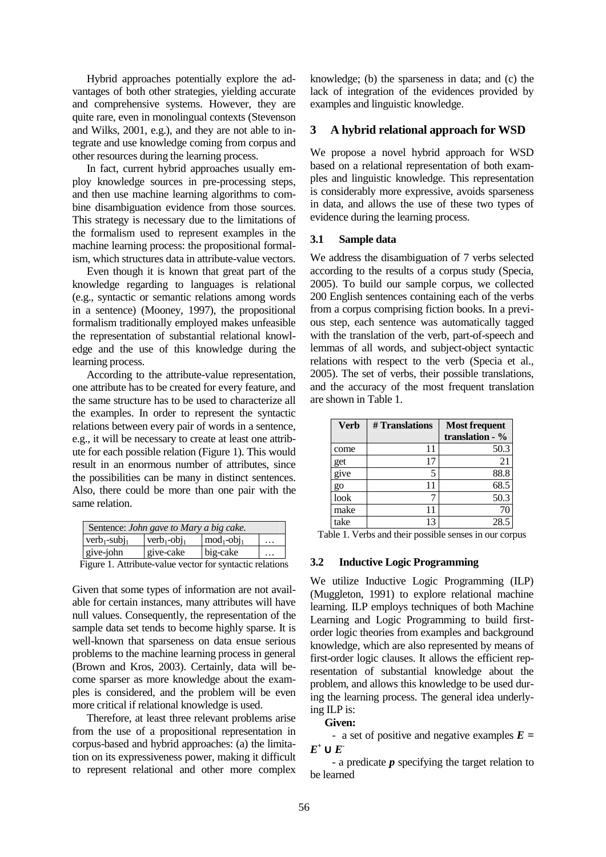Hybrid approaches potentially explore the advantages of both other strategies, yielding accurate and comprehensive systems. However, they are quite rare, even in monolingual contexts (Stevenson and Wilks, 2001, e.g.), and they are not able to integrate and use knowledge coming from corpus and other resources during the learning process.

In fact, current hybrid approaches usually employ knowledge sources in pre-processing steps, and then use machine learning algorithms to combine disambiguation evidence from those sources. This strategy is necessary due to the limitations of the formalism used to represent examples in the machine learning process: the propositional formalism, which structures data in attribute-value vectors.

Even though it is known that great part of the knowledge regarding to languages is relational (e.g., syntactic or semantic relations among words in a sentence) (Mooney, 1997), the propositional formalism traditionally employed makes unfeasible the representation of substantial relational knowledge and the use of this knowledge during the learning process.

According to the attribute-value representation, one attribute has to be created for every feature, and the same structure has to be used to characterize all the examples. In order to represent the syntactic relations between every pair of words in a sentence, e.g., it will be necessary to create at least one attribute for each possible relation (Figure 1). This would result in an enormous number of attributes, since the possibilities can be many in distinct sentences. Also, there could be more than one pair with the same relation.

| Sentence: John gave to Mary a big cake. |                          |               |          |
|-----------------------------------------|--------------------------|---------------|----------|
| $verb_{1-subi_1}$                       | $vert$ -obj <sub>1</sub> | $mod_1-obj_1$ | $\cdots$ |
| give-john                               | give-cake                | big-cake      | .        |

Figure 1. Attribute-value vector for syntactic relations

Given that some types of information are not available for certain instances, many attributes will have null values. Consequently, the representation of the sample data set tends to become highly sparse. It is well-known that sparseness on data ensue serious problems to the machine learning process in general (Brown and Kros, 2003). Certainly, data will become sparser as more knowledge about the examples is considered, and the problem will be even more critical if relational knowledge is used.

Therefore, at least three relevant problems arise from the use of a propositional representation in corpus-based and hybrid approaches: (a) the limitation on its expressiveness power, making it difficult to represent relational and other more complex

knowledge; (b) the sparseness in data; and (c) the lack of integration of the evidences provided by examples and linguistic knowledge.

# **3 A hybrid relational approach for WSD**

We propose a novel hybrid approach for WSD based on a relational representation of both examples and linguistic knowledge. This representation is considerably more expressive, avoids sparseness in data, and allows the use of these two types of evidence during the learning process.

### **3.1 Sample data**

We address the disambiguation of 7 verbs selected according to the results of a corpus study (Specia, 2005). To build our sample corpus, we collected 200 English sentences containing each of the verbs from a corpus comprising fiction books. In a previous step, each sentence was automatically tagged with the translation of the verb, part-of-speech and lemmas of all words, and subject-object syntactic relations with respect to the verb (Specia et al., 2005). The set of verbs, their possible translations, and the accuracy of the most frequent translation are shown in Table 1.

| <b>Verb</b>      | # Translations | <b>Most frequent</b><br>translation - $\%$ |
|------------------|----------------|--------------------------------------------|
| come             | 11             | 50.3                                       |
| get              | 17             | 21                                         |
| give             |                | 88.8                                       |
| $\overline{g}$ O |                | 68.5                                       |
| look             |                | 50.3                                       |
| make             | 11             | 70                                         |
| take             | 13             | 28.5                                       |

Table 1. Verbs and their possible senses in our corpus

#### **3.2 Inductive Logic Programming**

We utilize Inductive Logic Programming (ILP) (Muggleton, 1991) to explore relational machine learning. ILP employs techniques of both Machine Learning and Logic Programming to build firstorder logic theories from examples and background knowledge, which are also represented by means of first-order logic clauses. It allows the efficient representation of substantial knowledge about the problem, and allows this knowledge to be used during the learning process. The general idea underlying ILP is:

# **Given:**

- a set of positive and negative examples *E =*   $E^+ \cup E^-$ 

- a predicate *p* specifying the target relation to be learned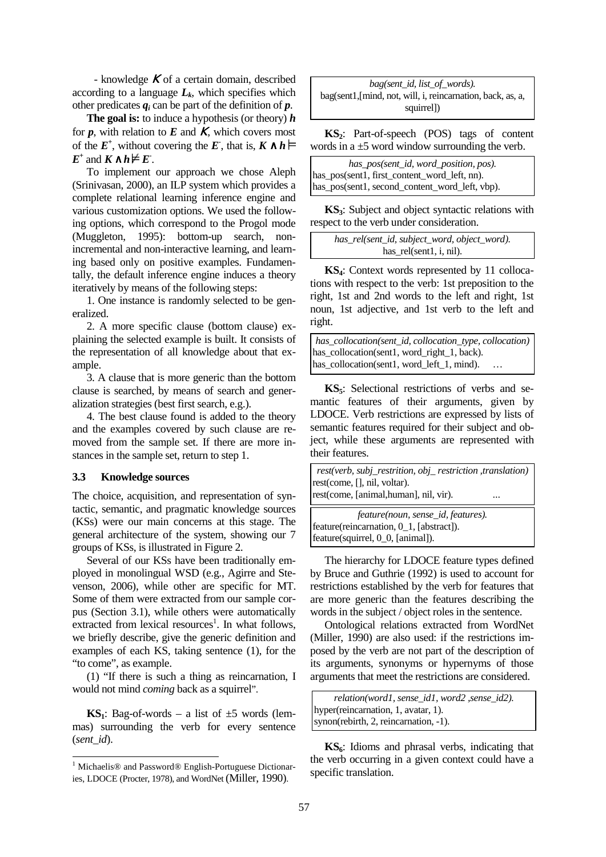- knowledge  $\boldsymbol{K}$  of a certain domain, described according to a language  $L_k$ , which specifies which other predicates  $q_i$  can be part of the definition of  $p$ .

**The goal is:** to induce a hypothesis (or theory) *h*  for  $p$ , with relation to  $E$  and  $K$ , which covers most of the  $E^+$ , without covering the  $E$ , that is,  $K \wedge h$  $E^+$  and  $K \wedge h \not\models E$ .

To implement our approach we chose Aleph (Srinivasan, 2000), an ILP system which provides a complete relational learning inference engine and various customization options. We used the following options, which correspond to the Progol mode (Muggleton, 1995): bottom-up search, nonincremental and non-interactive learning, and learning based only on positive examples. Fundamentally, the default inference engine induces a theory iteratively by means of the following steps:

1. One instance is randomly selected to be generalized.

2. A more specific clause (bottom clause) explaining the selected example is built. It consists of the representation of all knowledge about that example.

3. A clause that is more generic than the bottom clause is searched, by means of search and generalization strategies (best first search, e.g.).

4. The best clause found is added to the theory and the examples covered by such clause are removed from the sample set. If there are more instances in the sample set, return to step 1.

#### **3.3 Knowledge sources**

The choice, acquisition, and representation of syntactic, semantic, and pragmatic knowledge sources (KSs) were our main concerns at this stage. The general architecture of the system, showing our 7 groups of KSs, is illustrated in Figure 2.

Several of our KSs have been traditionally employed in monolingual WSD (e.g., Agirre and Stevenson, 2006), while other are specific for MT. Some of them were extracted from our sample corpus (Section 3.1), while others were automatically extracted from lexical resources<sup>1</sup>. In what follows, we briefly describe, give the generic definition and examples of each KS, taking sentence (1), for the "to come", as example.

(1) "If there is such a thing as reincarnation, I would not mind *coming* back as a squirrel".

**KS**<sub>1</sub>: Bag-of-words – a list of  $\pm$ 5 words (lemmas) surrounding the verb for every sentence (*sent\_id*).

*bag(sent\_id, list\_of\_words).*  bag(sent1,[mind, not, will, i, reincarnation, back, as, a, squirrel])

**KS2**: Part-of-speech (POS) tags of content words in a  $\pm$ 5 word window surrounding the verb.

| has pos(sent id, word position, pos).          |  |  |
|------------------------------------------------|--|--|
| has_pos(sent1, first_content_word_left, nn).   |  |  |
| has_pos(sent1, second_content_word_left, vbp). |  |  |

**KS3**: Subject and object syntactic relations with respect to the verb under consideration. ...

*has\_rel(sent\_id, subject\_word, object\_word).*  has\_rel(sent1, i, nil).

**KS4**: Context words represented by 11 collocations with respect to the verb: 1st preposition to the right, 1st and 2nd words to the left and right, 1st noun, 1st adjective, and 1st verb to the left and right.

| $\vert$ has_collocation(sent_id, collocation_type, collocation) |  |
|-----------------------------------------------------------------|--|
| has_collocation(sent1, word_right_1, back).                     |  |
| has_collocation(sent1, word_left_1, mind).<br>$\cdots$          |  |

**KS5**: Selectional restrictions of verbs and semantic features of their arguments, given by LDOCE. Verb restrictions are expressed by lists of semantic features required for their subject and object, while these arguments are represented with their features.

| rest(verb, subj_restrition, obj_restriction, translation) |          |
|-----------------------------------------------------------|----------|
| rest(come, [], nil, voltar).                              |          |
| rest(come, [animal, human], nil, vir).                    | $\cdots$ |

```
feature(noun, sense_id, features). 
feature(reincarnation, 0_1, [abstract]). 
feature(squirrel, 0_0, [animal]).
```
The hierarchy for LDOCE feature types defined by Bruce and Guthrie (1992) is used to account for restrictions established by the verb for features that are more generic than the features describing the words in the subject / object roles in the sentence.

Ontological relations extracted from WordNet (Miller, 1990) are also used: if the restrictions imposed by the verb are not part of the description of its arguments, synonyms or hypernyms of those arguments that meet the restrictions are considered.

```
relation(word1, sense_id1, word2 ,sense_id2). 
hyper(reincarnation, 1, avatar, 1). 
synon(rebirth, 2, reincarnation, -1).
```
**KS6**: Idioms and phrasal verbs, indicating that the verb occurring in a given context could have a specific translation.

 1 Michaelis® and Password® English-Portuguese Dictionaries, LDOCE (Procter, 1978), and WordNet (Miller, 1990).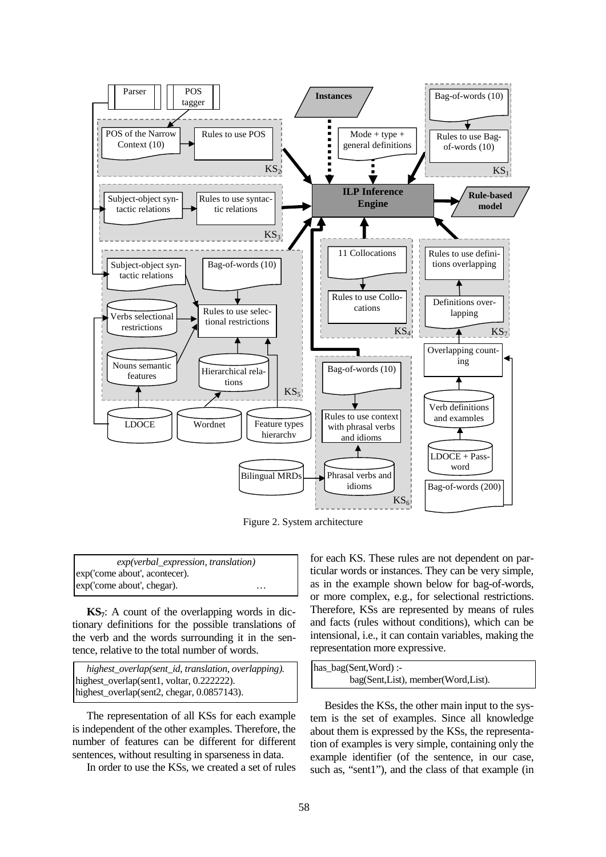

Figure 2. System architecture

*exp(verbal\_expression, translation)*  exp('come about', acontecer). exp('come about', chegar). …

**KS7**: A count of the overlapping words in dictionary definitions for the possible translations of the verb and the words surrounding it in the sentence, relative to the total number of words.

*highest\_overlap(sent\_id, translation, overlapping).* highest\_overlap(sent1, voltar, 0.222222). highest\_overlap(sent2, chegar, 0.0857143).

The representation of all KSs for each example is independent of the other examples. Therefore, the number of features can be different for different sentences, without resulting in sparseness in data.

In order to use the KSs, we created a set of rules

for each KS. These rules are not dependent on particular words or instances. They can be very simple, as in the example shown below for bag-of-words, or more complex, e.g., for selectional restrictions. Therefore, KSs are represented by means of rules and facts (rules without conditions), which can be intensional, i.e., it can contain variables, making the representation more expressive.

| has_bag(Sent,Word):-               |  |
|------------------------------------|--|
| bag(Sent,List), member(Word,List). |  |

Besides the KSs, the other main input to the system is the set of examples. Since all knowledge about them is expressed by the KSs, the representation of examples is very simple, containing only the example identifier (of the sentence, in our case, such as, "sent1"), and the class of that example (in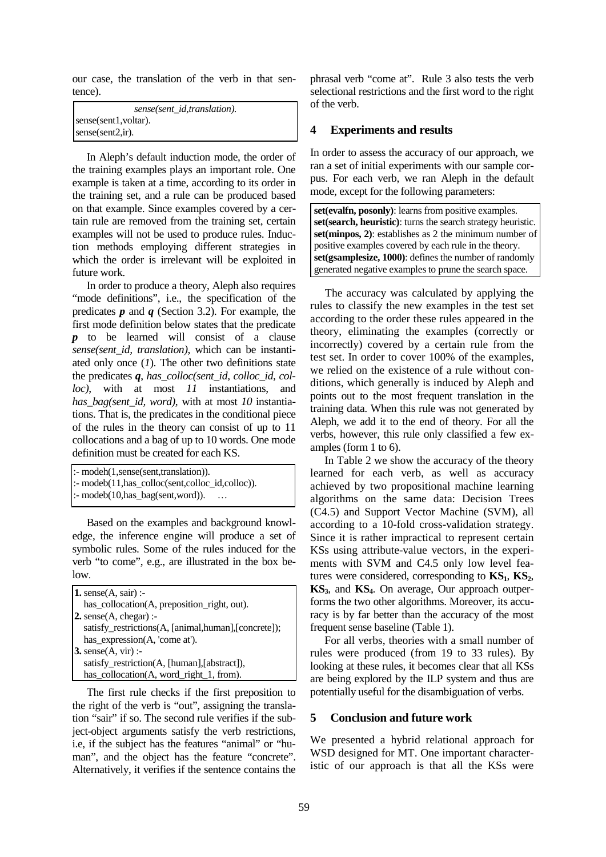our case, the translation of the verb in that sentence).

| sense(sent_id,translation).            |
|----------------------------------------|
| sense(sent1, voltar).                  |
| $ {\rm sense}({\rm sent2}, {\rm ir}).$ |

In Aleph's default induction mode, the order of the training examples plays an important role. One example is taken at a time, according to its order in the training set, and a rule can be produced based on that example. Since examples covered by a certain rule are removed from the training set, certain examples will not be used to produce rules. Induction methods employing different strategies in which the order is irrelevant will be exploited in future work.

In order to produce a theory, Aleph also requires "mode definitions", i.e., the specification of the predicates *p* and *q* (Section 3.2). For example, the first mode definition below states that the predicate *p* to be learned will consist of a clause *sense(sent\_id, translation)*, which can be instantiated only once (*1*). The other two definitions state the predicates *q*, *has\_colloc(sent\_id, colloc\_id, colloc)*, with at most *11* instantiations, and *has\_bag(sent\_id, word)*, with at most *10* instantiations. That is, the predicates in the conditional piece of the rules in the theory can consist of up to 11 collocations and a bag of up to 10 words. One mode definition must be created for each KS.

```
:- modeh(1,sense(sent,translation)).
:- modeb(11, has colloc(sent, colloc id, colloc)).
```
:- modeb(10, has\_bag(sent, word)). …

Based on the examples and background knowledge, the inference engine will produce a set of symbolic rules. Some of the rules induced for the verb "to come", e.g., are illustrated in the box below.

| 1. sense $(A, \text{sair})$ :                       |
|-----------------------------------------------------|
| has_collocation(A, preposition_right, out).         |
| 2. sense $(A, c \text{hegar})$ :                    |
| satisfy_restrictions(A, [animal,human],[concrete]); |
| has_expression(A, 'come at').                       |
| 3. sense $(A, \text{vir})$ :-                       |
| satisfy_restriction(A, [human], [abstract]),        |
| has_collocation(A, word_right_1, from).             |

The first rule checks if the first preposition to the right of the verb is "out", assigning the translation "sair" if so. The second rule verifies if the subject-object arguments satisfy the verb restrictions, i.e, if the subject has the features "animal" or "human", and the object has the feature "concrete". Alternatively, it verifies if the sentence contains the phrasal verb "come at". Rule 3 also tests the verb selectional restrictions and the first word to the right of the verb.

# **4 Experiments and results**

In order to assess the accuracy of our approach, we ran a set of initial experiments with our sample corpus. For each verb, we ran Aleph in the default mode, except for the following parameters:

**set(evalfn, posonly)**: learns from positive examples. **set(search, heuristic)**: turns the search strategy heuristic. **set(minpos, 2)**: establishes as 2 the minimum number of positive examples covered by each rule in the theory. **set(gsamplesize, 1000)**: defines the number of randomly generated negative examples to prune the search space.

The accuracy was calculated by applying the rules to classify the new examples in the test set according to the order these rules appeared in the theory, eliminating the examples (correctly or incorrectly) covered by a certain rule from the test set. In order to cover 100% of the examples, we relied on the existence of a rule without conditions, which generally is induced by Aleph and points out to the most frequent translation in the training data. When this rule was not generated by Aleph, we add it to the end of theory. For all the verbs, however, this rule only classified a few examples (form 1 to 6).

In Table 2 we show the accuracy of the theory learned for each verb, as well as accuracy achieved by two propositional machine learning algorithms on the same data: Decision Trees (C4.5) and Support Vector Machine (SVM), all according to a 10-fold cross-validation strategy. Since it is rather impractical to represent certain KSs using attribute-value vectors, in the experiments with SVM and C4.5 only low level features were considered, corresponding to  $\mathbf{KS}_1$ ,  $\mathbf{KS}_2$ , **KS3**, and **KS4**. On average, Our approach outperforms the two other algorithms. Moreover, its accuracy is by far better than the accuracy of the most frequent sense baseline (Table 1).

For all verbs, theories with a small number of rules were produced (from 19 to 33 rules). By looking at these rules, it becomes clear that all KSs are being explored by the ILP system and thus are potentially useful for the disambiguation of verbs.

# **5 Conclusion and future work**

We presented a hybrid relational approach for WSD designed for MT. One important characteristic of our approach is that all the KSs were